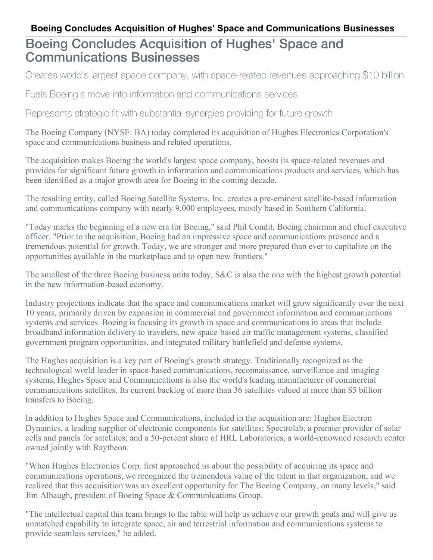## **Boeing Concludes Acquisition of Hughes' Space and Communications Businesses**

## Boeing Concludes Acquisition of Hughes' Space and Communications Businesses

Creates world's largest space company, with space-related revenues approaching \$10 billion

Fuels Boeing's move into information and communications services

Represents strategic fit with substantial synergies providing for future growth

The Boeing Company (NYSE: BA) today completed its acquisition of Hughes Electronics Corporation's space and communications business and related operations.

The acquisition makes Boeing the world's largest space company, boosts its space-related revenues and provides for significant future growth in information and communications products and services, which has been identified as a major growth area for Boeing in the coming decade.

The resulting entity, called Boeing Satellite Systems, Inc. creates a pre-eminent satellite-based information and communications company with nearly 9,000 employees, mostly based in Southern California.

"Today marks the beginning of a new era for Boeing," said Phil Condit, Boeing chairman and chief executive officer. "Prior to the acquisition, Boeing had an impressive space and communications presence and a tremendous potential for growth. Today, we are stronger and more prepared than ever to capitalize on the opportunities available in the marketplace and to open new frontiers."

The smallest of the three Boeing business units today, S&C is also the one with the highest growth potential in the new information-based economy.

Industry projections indicate that the space and communications market will grow significantly over the next 10 years, primarily driven by expansion in commercial and government information and communications systems and services. Boeing is focusing its growth in space and communications in areas that include broadband information delivery to travelers, new space-based air traffic management systems, classified government program opportunities, and integrated military battlefield and defense systems.

The Hughes acquisition is a key part of Boeing's growth strategy. Traditionally recognized as the technological world leader in space-based communications, reconnaissance, surveillance and imaging systems, Hughes Space and Communications is also the world's leading manufacturer of commercial communications satellites. Its current backlog of more than 36 satellites valued at more than \$5 billion transfers to Boeing.

In addition to Hughes Space and Communications, included in the acquisition are: Hughes Electron Dynamics, a leading supplier of electronic components for satellites; Spectrolab, a premier provider of solar cells and panels for satellites; and a 50-percent share of HRL Laboratories, a world-renowned research center owned jointly with Raytheon.

"When Hughes Electronics Corp. first approached us about the possibility of acquiring its space and communications operations, we recognized the tremendous value of the talent in that organization, and we realized that this acquisition was an excellent opportunity for The Boeing Company, on many levels," said Jim Albaugh, president of Boeing Space & Communications Group.

"The intellectual capital this team brings to the table will help us achieve our growth goals and will give us unmatched capability to integrate space, air and terrestrial information and communications systems to provide seamless services," he added.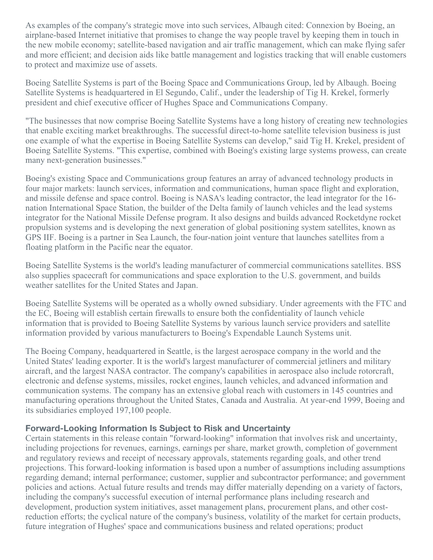As examples of the company's strategic move into such services, Albaugh cited: Connexion by Boeing, an airplane-based Internet initiative that promises to change the way people travel by keeping them in touch in the new mobile economy; satellite-based navigation and air traffic management, which can make flying safer and more efficient; and decision aids like battle management and logistics tracking that will enable customers to protect and maximize use of assets.

Boeing Satellite Systems is part of the Boeing Space and Communications Group, led by Albaugh. Boeing Satellite Systems is headquartered in El Segundo, Calif., under the leadership of Tig H. Krekel, formerly president and chief executive officer of Hughes Space and Communications Company.

"The businesses that now comprise Boeing Satellite Systems have a long history of creating new technologies that enable exciting market breakthroughs. The successful direct-to-home satellite television business is just one example of what the expertise in Boeing Satellite Systems can develop," said Tig H. Krekel, president of Boeing Satellite Systems. "This expertise, combined with Boeing's existing large systems prowess, can create many next-generation businesses."

Boeing's existing Space and Communications group features an array of advanced technology products in four major markets: launch services, information and communications, human space flight and exploration, and missile defense and space control. Boeing is NASA's leading contractor, the lead integrator for the 16 nation International Space Station, the builder of the Delta family of launch vehicles and the lead systems integrator for the National Missile Defense program. It also designs and builds advanced Rocketdyne rocket propulsion systems and is developing the next generation of global positioning system satellites, known as GPS IIF. Boeing is a partner in Sea Launch, the four-nation joint venture that launches satellites from a floating platform in the Pacific near the equator.

Boeing Satellite Systems is the world's leading manufacturer of commercial communications satellites. BSS also supplies spacecraft for communications and space exploration to the U.S. government, and builds weather satellites for the United States and Japan.

Boeing Satellite Systems will be operated as a wholly owned subsidiary. Under agreements with the FTC and the EC, Boeing will establish certain firewalls to ensure both the confidentiality of launch vehicle information that is provided to Boeing Satellite Systems by various launch service providers and satellite information provided by various manufacturers to Boeing's Expendable Launch Systems unit.

The Boeing Company, headquartered in Seattle, is the largest aerospace company in the world and the United States' leading exporter. It is the world's largest manufacturer of commercial jetliners and military aircraft, and the largest NASA contractor. The company's capabilities in aerospace also include rotorcraft, electronic and defense systems, missiles, rocket engines, launch vehicles, and advanced information and communication systems. The company has an extensive global reach with customers in 145 countries and manufacturing operations throughout the United States, Canada and Australia. At year-end 1999, Boeing and its subsidiaries employed 197,100 people.

## **Forward-Looking Information Is Subject to Risk and Uncertainty**

Certain statements in this release contain "forward-looking" information that involves risk and uncertainty, including projections for revenues, earnings, earnings per share, market growth, completion of government and regulatory reviews and receipt of necessary approvals, statements regarding goals, and other trend projections. This forward-looking information is based upon a number of assumptions including assumptions regarding demand; internal performance; customer, supplier and subcontractor performance; and government policies and actions. Actual future results and trends may differ materially depending on a variety of factors, including the company's successful execution of internal performance plans including research and development, production system initiatives, asset management plans, procurement plans, and other costreduction efforts; the cyclical nature of the company's business, volatility of the market for certain products, future integration of Hughes' space and communications business and related operations; product